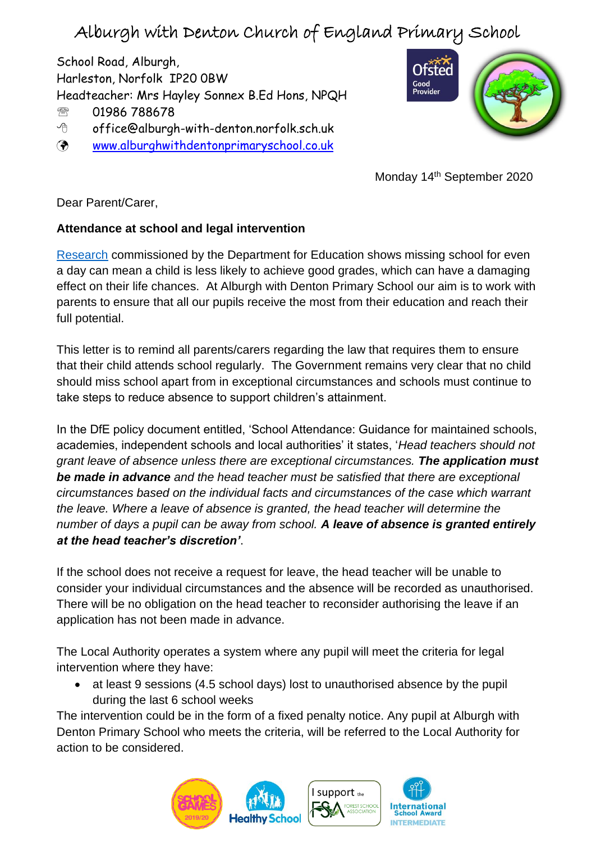## Alburgh with Denton Church of England Primary School

School Road, Alburgh, Harleston, Norfolk IP20 0BW Headteacher: Mrs Hayley Sonnex B.Ed Hons, NPQH 01986 788678 offic[e@alburgh-with-denton.](mailto:head@alburgh-with-denton.norfolk.sch.uk)norfolk.sch.uk [www.alburghwithdentonprimaryschool.co.uk](http://www.alburghwithdentonprimaryschool.co.uk/)



Monday 14<sup>th</sup> September 2020

Dear Parent/Carer,

## **Attendance at school and legal intervention**

[Research](https://www.gov.uk/government/publications/absence-and-attainment-at-key-stages-2-and-4-2013-to-2014) commissioned by the Department for Education shows missing school for even a day can mean a child is less likely to achieve good grades, which can have a damaging effect on their life chances. At Alburgh with Denton Primary School our aim is to work with parents to ensure that all our pupils receive the most from their education and reach their full potential.

This letter is to remind all parents/carers regarding the law that requires them to ensure that their child attends school regularly. The Government remains very clear that no child should miss school apart from in exceptional circumstances and schools must continue to take steps to reduce absence to support children's attainment.

In the DfE policy document entitled, 'School Attendance: Guidance for maintained schools, academies, independent schools and local authorities' it states, '*Head teachers should not grant leave of absence unless there are exceptional circumstances. The application must be made in advance and the head teacher must be satisfied that there are exceptional circumstances based on the individual facts and circumstances of the case which warrant the leave. Where a leave of absence is granted, the head teacher will determine the number of days a pupil can be away from school. A leave of absence is granted entirely at the head teacher's discretion'*.

If the school does not receive a request for leave, the head teacher will be unable to consider your individual circumstances and the absence will be recorded as unauthorised. There will be no obligation on the head teacher to reconsider authorising the leave if an application has not been made in advance.

The Local Authority operates a system where any pupil will meet the criteria for legal intervention where they have:

• at least 9 sessions (4.5 school days) lost to unauthorised absence by the pupil during the last 6 school weeks

The intervention could be in the form of a fixed penalty notice. Any pupil at Alburgh with Denton Primary School who meets the criteria, will be referred to the Local Authority for action to be considered.